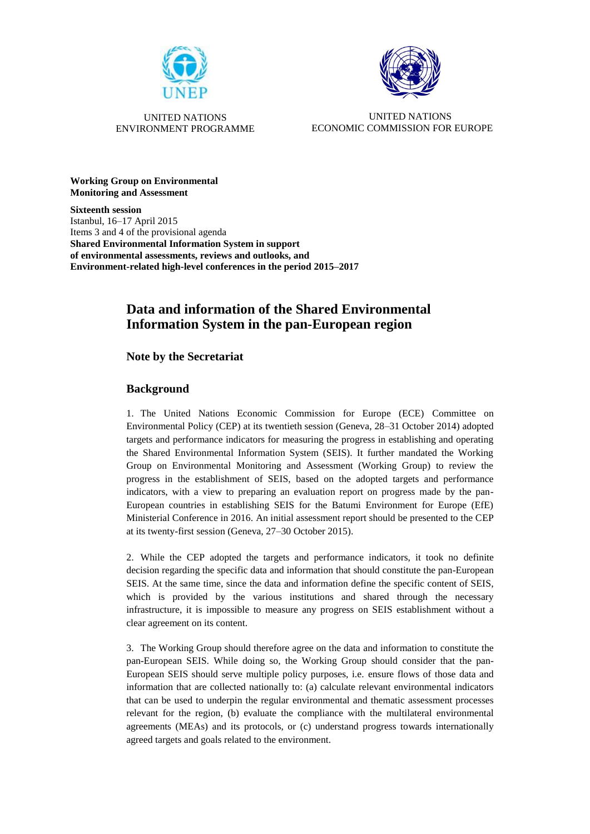



UNITED NATIONS ENVIRONMENT PROGRAMME

UNITED NATIONS ECONOMIC COMMISSION FOR EUROPE

**Working Group on Environmental Monitoring and Assessment**

**Sixteenth session** Istanbul, 16–17 April 2015 Items 3 and 4 of the provisional agenda **Shared Environmental Information System in support of environmental assessments, reviews and outlooks, and Environment-related high-level conferences in the period 2015–2017**

# **Data and information of the Shared Environmental Information System in the pan-European region**

## **Note by the Secretariat**

## **Background**

1. The United Nations Economic Commission for Europe (ECE) Committee on Environmental Policy (CEP) at its twentieth session (Geneva, 28–31 October 2014) adopted targets and performance indicators for measuring the progress in establishing and operating the Shared Environmental Information System (SEIS). It further mandated the Working Group on Environmental Monitoring and Assessment (Working Group) to review the progress in the establishment of SEIS, based on the adopted targets and performance indicators, with a view to preparing an evaluation report on progress made by the pan-European countries in establishing SEIS for the Batumi Environment for Europe (EfE) Ministerial Conference in 2016. An initial assessment report should be presented to the CEP at its twenty-first session (Geneva, 27–30 October 2015).

2. While the CEP adopted the targets and performance indicators, it took no definite decision regarding the specific data and information that should constitute the pan-European SEIS. At the same time, since the data and information define the specific content of SEIS, which is provided by the various institutions and shared through the necessary infrastructure, it is impossible to measure any progress on SEIS establishment without a clear agreement on its content.

3. The Working Group should therefore agree on the data and information to constitute the pan-European SEIS. While doing so, the Working Group should consider that the pan-European SEIS should serve multiple policy purposes, i.e. ensure flows of those data and information that are collected nationally to: (a) calculate relevant environmental indicators that can be used to underpin the regular environmental and thematic assessment processes relevant for the region, (b) evaluate the compliance with the multilateral environmental agreements (MEAs) and its protocols, or (c) understand progress towards internationally agreed targets and goals related to the environment.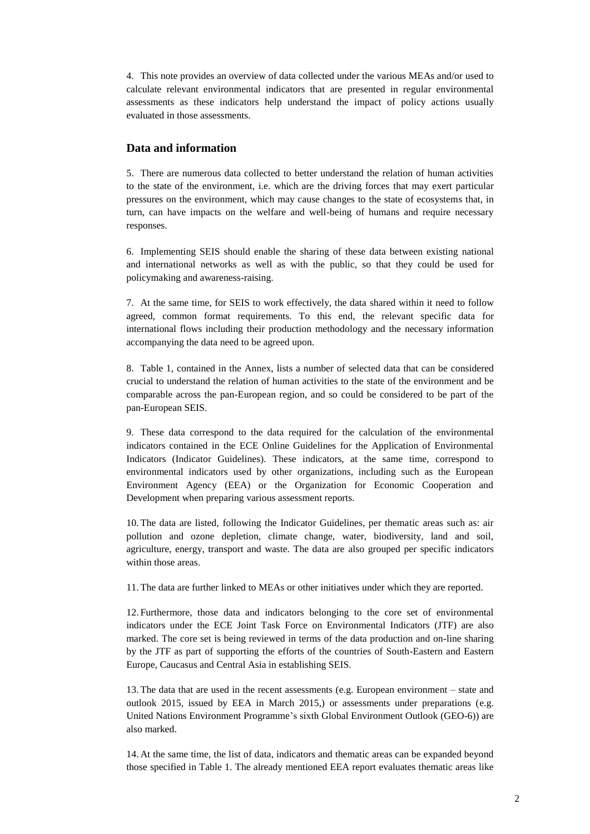4. This note provides an overview of data collected under the various MEAs and/or used to calculate relevant environmental indicators that are presented in regular environmental assessments as these indicators help understand the impact of policy actions usually evaluated in those assessments.

#### **Data and information**

5. There are numerous data collected to better understand the relation of human activities to the state of the environment, i.e. which are the driving forces that may exert particular pressures on the environment, which may cause changes to the state of ecosystems that, in turn, can have impacts on the welfare and well-being of humans and require necessary responses.

6. Implementing SEIS should enable the sharing of these data between existing national and international networks as well as with the public, so that they could be used for policymaking and awareness-raising.

7. At the same time, for SEIS to work effectively, the data shared within it need to follow agreed, common format requirements. To this end, the relevant specific data for international flows including their production methodology and the necessary information accompanying the data need to be agreed upon.

8. Table 1, contained in the Annex, lists a number of selected data that can be considered crucial to understand the relation of human activities to the state of the environment and be comparable across the pan-European region, and so could be considered to be part of the pan-European SEIS.

9. These data correspond to the data required for the calculation of the environmental indicators contained in the ECE Online Guidelines for the Application of Environmental Indicators (Indicator Guidelines). These indicators, at the same time, correspond to environmental indicators used by other organizations, including such as the European Environment Agency (EEA) or the Organization for Economic Cooperation and Development when preparing various assessment reports.

10. The data are listed, following the Indicator Guidelines, per thematic areas such as: air pollution and ozone depletion, climate change, water, biodiversity, land and soil, agriculture, energy, transport and waste. The data are also grouped per specific indicators within those areas.

11. The data are further linked to MEAs or other initiatives under which they are reported.

12. Furthermore, those data and indicators belonging to the core set of environmental indicators under the ECE Joint Task Force on Environmental Indicators (JTF) are also marked. The core set is being reviewed in terms of the data production and on-line sharing by the JTF as part of supporting the efforts of the countries of South-Eastern and Eastern Europe, Caucasus and Central Asia in establishing SEIS.

13. The data that are used in the recent assessments (e.g. European environment – state and outlook 2015, issued by EEA in March 2015,) or assessments under preparations (e.g. United Nations Environment Programme's sixth Global Environment Outlook (GEO-6)) are also marked.

14. At the same time, the list of data, indicators and thematic areas can be expanded beyond those specified in Table 1. The already mentioned EEA report evaluates thematic areas like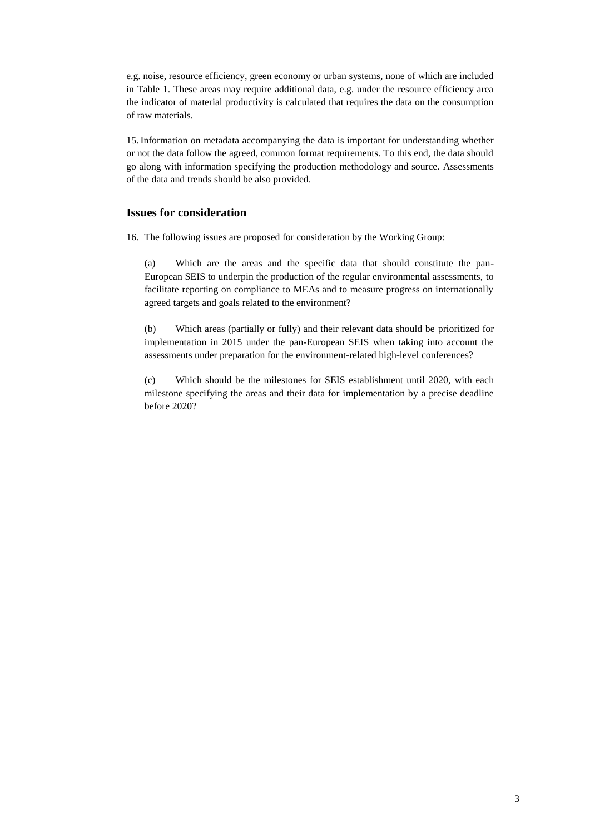e.g. noise, resource efficiency, green economy or urban systems, none of which are included in Table 1. These areas may require additional data, e.g. under the resource efficiency area the indicator of material productivity is calculated that requires the data on the consumption of raw materials.

15.Information on metadata accompanying the data is important for understanding whether or not the data follow the agreed, common format requirements. To this end, the data should go along with information specifying the production methodology and source. Assessments of the data and trends should be also provided.

#### **Issues for consideration**

16. The following issues are proposed for consideration by the Working Group:

(a) Which are the areas and the specific data that should constitute the pan-European SEIS to underpin the production of the regular environmental assessments, to facilitate reporting on compliance to MEAs and to measure progress on internationally agreed targets and goals related to the environment?

(b) Which areas (partially or fully) and their relevant data should be prioritized for implementation in 2015 under the pan-European SEIS when taking into account the assessments under preparation for the environment-related high-level conferences?

(c) Which should be the milestones for SEIS establishment until 2020, with each milestone specifying the areas and their data for implementation by a precise deadline before 2020?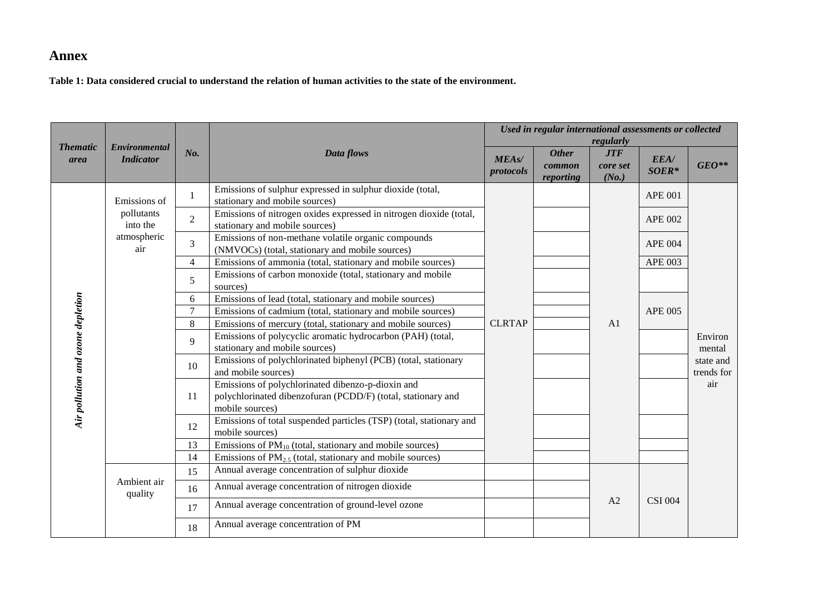# **Annex**

**Table 1: Data considered crucial to understand the relation of human activities to the state of the environment.** 

|                                   |                                                              |                |                                                                                                                                      |                                                                                             | Used in regular international assessments or collected | regularly                       |                 |                         |  |
|-----------------------------------|--------------------------------------------------------------|----------------|--------------------------------------------------------------------------------------------------------------------------------------|---------------------------------------------------------------------------------------------|--------------------------------------------------------|---------------------------------|-----------------|-------------------------|--|
| <b>Thematic</b><br>area           | Environmental<br><b>Indicator</b>                            | No.            | Data flows                                                                                                                           | <b>MEAs/</b><br>protocols                                                                   | <b>Other</b><br>common<br>reporting                    | <b>JTF</b><br>core set<br>(No.) | EEA/<br>$SOER*$ | $GEO**$                 |  |
|                                   | Emissions of<br>pollutants<br>into the<br>atmospheric<br>air |                | $\mathbf{1}$                                                                                                                         | Emissions of sulphur expressed in sulphur dioxide (total,<br>stationary and mobile sources) |                                                        |                                 |                 | <b>APE 001</b>          |  |
|                                   |                                                              | $\overline{2}$ | Emissions of nitrogen oxides expressed in nitrogen dioxide (total,<br>stationary and mobile sources)                                 |                                                                                             |                                                        |                                 | <b>APE 002</b>  |                         |  |
|                                   |                                                              | 3              | Emissions of non-methane volatile organic compounds<br>(NMVOCs) (total, stationary and mobile sources)                               |                                                                                             |                                                        |                                 | <b>APE 004</b>  |                         |  |
|                                   |                                                              | $\overline{4}$ | Emissions of ammonia (total, stationary and mobile sources)                                                                          |                                                                                             |                                                        |                                 | <b>APE 003</b>  |                         |  |
|                                   |                                                              | 5              | Emissions of carbon monoxide (total, stationary and mobile<br>sources)                                                               |                                                                                             |                                                        |                                 |                 |                         |  |
|                                   |                                                              | 6              | Emissions of lead (total, stationary and mobile sources)                                                                             |                                                                                             |                                                        |                                 |                 |                         |  |
|                                   |                                                              | $\overline{7}$ | Emissions of cadmium (total, stationary and mobile sources)                                                                          |                                                                                             |                                                        |                                 | <b>APE 005</b>  |                         |  |
|                                   |                                                              | 8              | Emissions of mercury (total, stationary and mobile sources)                                                                          | <b>CLRTAP</b>                                                                               |                                                        | A <sub>1</sub>                  |                 |                         |  |
|                                   |                                                              | 9              | Emissions of polycyclic aromatic hydrocarbon (PAH) (total,<br>stationary and mobile sources)                                         |                                                                                             |                                                        |                                 |                 | Environ<br>mental       |  |
|                                   |                                                              | 10             | Emissions of polychlorinated biphenyl (PCB) (total, stationary<br>and mobile sources)                                                |                                                                                             |                                                        |                                 |                 | state and<br>trends for |  |
| Air pollution and ozone depletion |                                                              | 11             | Emissions of polychlorinated dibenzo-p-dioxin and<br>polychlorinated dibenzofuran (PCDD/F) (total, stationary and<br>mobile sources) |                                                                                             |                                                        |                                 |                 | air                     |  |
|                                   |                                                              |                | 12                                                                                                                                   | Emissions of total suspended particles (TSP) (total, stationary and<br>mobile sources)      |                                                        |                                 |                 |                         |  |
|                                   |                                                              | 13             | Emissions of $PM_{10}$ (total, stationary and mobile sources)                                                                        |                                                                                             |                                                        |                                 |                 |                         |  |
|                                   |                                                              | 14             | Emissions of $PM_{2.5}$ (total, stationary and mobile sources)                                                                       |                                                                                             |                                                        |                                 |                 |                         |  |
|                                   |                                                              | 15             | Annual average concentration of sulphur dioxide                                                                                      |                                                                                             |                                                        |                                 |                 |                         |  |
|                                   | Ambient air<br>quality                                       | 16             | Annual average concentration of nitrogen dioxide                                                                                     |                                                                                             |                                                        |                                 |                 |                         |  |
|                                   |                                                              | 17             | Annual average concentration of ground-level ozone                                                                                   |                                                                                             |                                                        | A2                              | <b>CSI 004</b>  |                         |  |
|                                   |                                                              | 18             | Annual average concentration of PM                                                                                                   |                                                                                             |                                                        |                                 |                 |                         |  |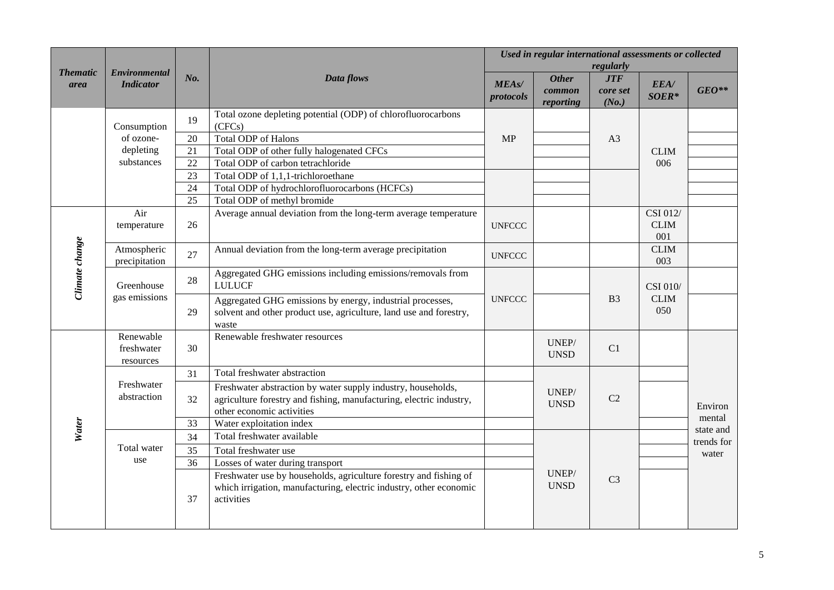|                         |                                      |     |                                                                                                                                                                  |                           | Used in regular international assessments or collected<br>regularly |                                 |                                |                     |  |
|-------------------------|--------------------------------------|-----|------------------------------------------------------------------------------------------------------------------------------------------------------------------|---------------------------|---------------------------------------------------------------------|---------------------------------|--------------------------------|---------------------|--|
| <b>Thematic</b><br>area | Environmental<br><b>Indicator</b>    | No. | Data flows                                                                                                                                                       | <b>MEAs/</b><br>protocols | <b>Other</b><br>common<br>reporting                                 | <b>JTF</b><br>core set<br>(No.) | EEA/<br>$SOER*$                | $GEO**$             |  |
|                         | Consumption                          | 19  | Total ozone depleting potential (ODP) of chlorofluorocarbons<br>(CFCs)                                                                                           |                           |                                                                     |                                 |                                |                     |  |
|                         | of ozone-                            | 20  | <b>Total ODP</b> of Halons                                                                                                                                       | <b>MP</b>                 |                                                                     | A <sub>3</sub>                  |                                |                     |  |
|                         | depleting                            | 21  | Total ODP of other fully halogenated CFCs                                                                                                                        |                           |                                                                     |                                 | <b>CLIM</b><br>006             |                     |  |
|                         | substances                           | 22  | Total ODP of carbon tetrachloride                                                                                                                                |                           |                                                                     |                                 |                                |                     |  |
|                         |                                      | 23  | Total ODP of 1,1,1-trichloroethane                                                                                                                               |                           |                                                                     |                                 |                                |                     |  |
|                         |                                      | 24  | Total ODP of hydrochlorofluorocarbons (HCFCs)                                                                                                                    |                           |                                                                     |                                 |                                |                     |  |
|                         |                                      | 25  | Total ODP of methyl bromide                                                                                                                                      |                           |                                                                     |                                 |                                |                     |  |
| Climate change          | Air<br>temperature                   | 26  | Average annual deviation from the long-term average temperature                                                                                                  | <b>UNFCCC</b>             |                                                                     |                                 | CSI 012/<br><b>CLIM</b><br>001 |                     |  |
|                         | Atmospheric<br>precipitation         | 27  | Annual deviation from the long-term average precipitation                                                                                                        | <b>UNFCCC</b>             |                                                                     |                                 | <b>CLIM</b><br>003             |                     |  |
|                         | Greenhouse                           | 28  | Aggregated GHG emissions including emissions/removals from<br><b>LULUCF</b>                                                                                      |                           |                                                                     |                                 | CSI 010/                       |                     |  |
|                         | gas emissions                        | 29  | Aggregated GHG emissions by energy, industrial processes,<br>solvent and other product use, agriculture, land use and forestry,<br>waste                         | <b>UNFCCC</b>             |                                                                     | B <sub>3</sub>                  | <b>CLIM</b><br>050             |                     |  |
|                         | Renewable<br>freshwater<br>resources | 30  | Renewable freshwater resources                                                                                                                                   |                           | UNEP/<br><b>UNSD</b>                                                | C1                              |                                |                     |  |
|                         |                                      | 31  | Total freshwater abstraction                                                                                                                                     |                           |                                                                     |                                 |                                |                     |  |
|                         | Freshwater<br>abstraction            | 32  | Freshwater abstraction by water supply industry, households,<br>agriculture forestry and fishing, manufacturing, electric industry,<br>other economic activities |                           | UNEP/<br><b>UNSD</b>                                                | C <sub>2</sub>                  |                                | Environ             |  |
| Water                   |                                      | 33  | Water exploitation index                                                                                                                                         |                           |                                                                     |                                 |                                | mental<br>state and |  |
|                         |                                      | 34  | Total freshwater available                                                                                                                                       |                           |                                                                     |                                 |                                | trends for          |  |
|                         | Total water                          | 35  | Total freshwater use                                                                                                                                             |                           |                                                                     |                                 |                                | water               |  |
|                         | use                                  | 36  | Losses of water during transport                                                                                                                                 |                           |                                                                     |                                 |                                |                     |  |
|                         |                                      | 37  | Freshwater use by households, agriculture forestry and fishing of<br>which irrigation, manufacturing, electric industry, other economic<br>activities            |                           | UNEP/<br><b>UNSD</b>                                                | C <sub>3</sub>                  |                                |                     |  |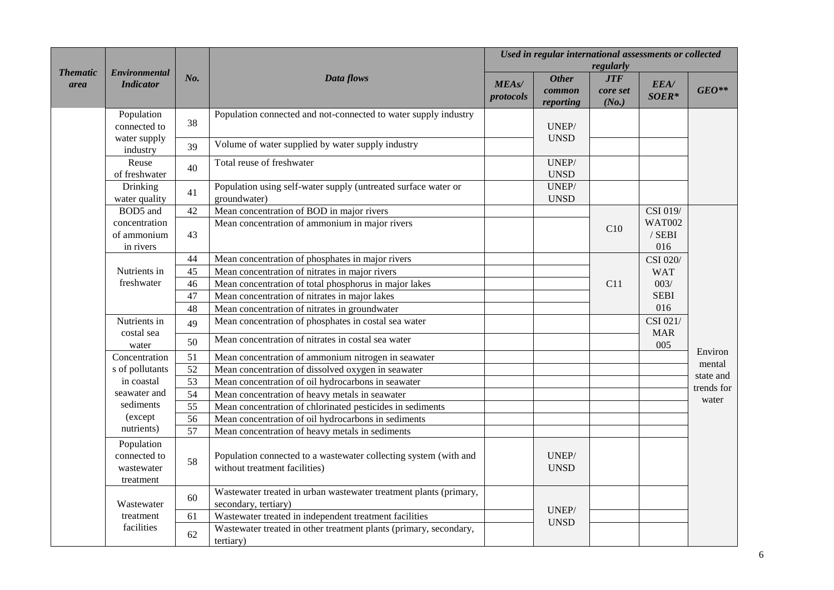| <b>Thematic</b> | <b>Environmental</b>                                  |                 |                                                                                                   | Used in regular international assessments or collected<br>regularly |                                     |                                 |                                  |            |  |
|-----------------|-------------------------------------------------------|-----------------|---------------------------------------------------------------------------------------------------|---------------------------------------------------------------------|-------------------------------------|---------------------------------|----------------------------------|------------|--|
| area            | <b>Indicator</b>                                      | No.             | Data flows                                                                                        | <b>MEAs/</b><br>protocols                                           | <b>Other</b><br>common<br>reporting | <b>JTF</b><br>core set<br>(No.) | EEA/<br>SOER*                    | $GEO**$    |  |
|                 | Population<br>connected to                            | 38              | Population connected and not-connected to water supply industry                                   |                                                                     | UNEP/                               |                                 |                                  |            |  |
|                 | water supply<br>industry                              | 39              | Volume of water supplied by water supply industry                                                 |                                                                     | <b>UNSD</b>                         |                                 |                                  |            |  |
|                 | Reuse<br>of freshwater                                | 40              | Total reuse of freshwater                                                                         |                                                                     | UNEP/<br><b>UNSD</b>                |                                 |                                  |            |  |
|                 | <b>Drinking</b><br>water quality                      | 41              | Population using self-water supply (untreated surface water or<br>groundwater)                    |                                                                     | UNEP/<br><b>UNSD</b>                |                                 |                                  |            |  |
|                 | BOD5 and                                              | 42              | Mean concentration of BOD in major rivers                                                         |                                                                     |                                     |                                 | CSI 019/                         |            |  |
|                 | concentration<br>of ammonium<br>43<br>in rivers       |                 | Mean concentration of ammonium in major rivers                                                    |                                                                     |                                     | C10                             | <b>WAT002</b><br>$/$ SEBI<br>016 |            |  |
|                 |                                                       | 44              | Mean concentration of phosphates in major rivers                                                  |                                                                     |                                     |                                 | CSI 020/                         |            |  |
|                 | Nutrients in                                          | 45              | Mean concentration of nitrates in major rivers                                                    |                                                                     |                                     | C11                             | <b>WAT</b>                       |            |  |
|                 | freshwater                                            | 46              | Mean concentration of total phosphorus in major lakes                                             |                                                                     |                                     |                                 | 003/<br><b>SEBI</b><br>016       |            |  |
|                 |                                                       | 47              | Mean concentration of nitrates in major lakes                                                     |                                                                     |                                     |                                 |                                  |            |  |
|                 |                                                       | 48              | Mean concentration of nitrates in groundwater                                                     |                                                                     |                                     |                                 |                                  |            |  |
|                 | Nutrients in<br>costal sea                            | 49              | Mean concentration of phosphates in costal sea water                                              |                                                                     |                                     |                                 | CSI 021/<br><b>MAR</b>           |            |  |
|                 | water                                                 | 50              | Mean concentration of nitrates in costal sea water                                                |                                                                     |                                     |                                 | 005                              | Environ    |  |
|                 | Concentration                                         | 51              | Mean concentration of ammonium nitrogen in seawater                                               |                                                                     |                                     |                                 |                                  | mental     |  |
|                 | s of pollutants                                       | $\overline{52}$ | Mean concentration of dissolved oxygen in seawater                                                |                                                                     |                                     |                                 |                                  | state and  |  |
|                 | in coastal                                            | 53              | Mean concentration of oil hydrocarbons in seawater                                                |                                                                     |                                     |                                 |                                  | trends for |  |
|                 | seawater and                                          | 54              | Mean concentration of heavy metals in seawater                                                    |                                                                     |                                     |                                 |                                  | water      |  |
|                 | sediments                                             | $\overline{55}$ | Mean concentration of chlorinated pesticides in sediments                                         |                                                                     |                                     |                                 |                                  |            |  |
|                 | (except                                               | 56              | Mean concentration of oil hydrocarbons in sediments                                               |                                                                     |                                     |                                 |                                  |            |  |
|                 | nutrients)                                            | 57              | Mean concentration of heavy metals in sediments                                                   |                                                                     |                                     |                                 |                                  |            |  |
|                 | Population<br>connected to<br>wastewater<br>treatment | 58              | Population connected to a wastewater collecting system (with and<br>without treatment facilities) |                                                                     | UNEP/<br><b>UNSD</b>                |                                 |                                  |            |  |
|                 | Wastewater                                            | 60              | Wastewater treated in urban wastewater treatment plants (primary,<br>secondary, tertiary)         |                                                                     |                                     |                                 |                                  |            |  |
|                 | treatment                                             | 61              | Wastewater treated in independent treatment facilities                                            |                                                                     | UNEP/<br><b>UNSD</b>                |                                 |                                  |            |  |
|                 | facilities                                            | 62              | Wastewater treated in other treatment plants (primary, secondary,<br>tertiary)                    |                                                                     |                                     |                                 |                                  |            |  |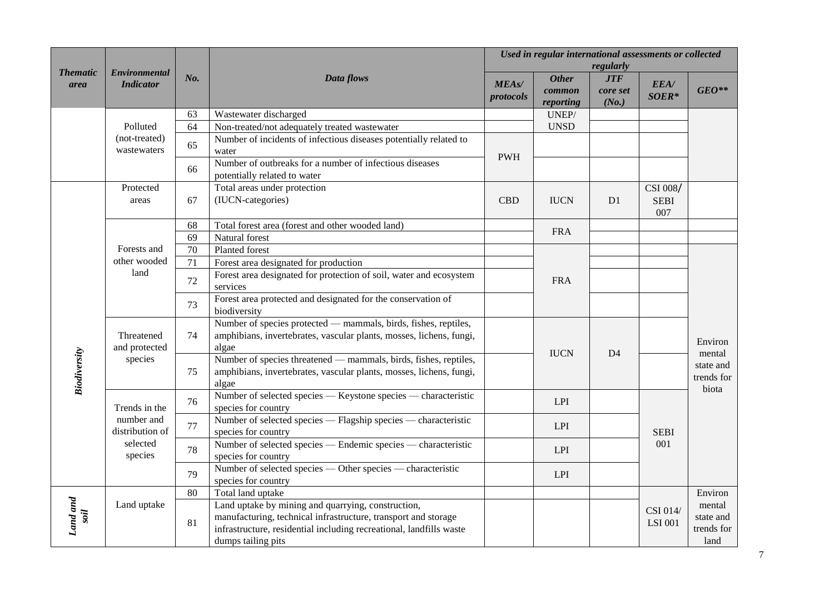|                     |                                          |                 |                                                                                                                                                                                                                   |                           | Used in regular international assessments or collected |                                 |                                |                                                       |
|---------------------|------------------------------------------|-----------------|-------------------------------------------------------------------------------------------------------------------------------------------------------------------------------------------------------------------|---------------------------|--------------------------------------------------------|---------------------------------|--------------------------------|-------------------------------------------------------|
| <b>Thematic</b>     | <b>Environmental</b><br><b>Indicator</b> |                 |                                                                                                                                                                                                                   |                           |                                                        | regularly                       |                                |                                                       |
| area                |                                          | No.             | Data flows                                                                                                                                                                                                        | <b>MEAs/</b><br>protocols | <b>Other</b><br>common<br>reporting                    | <b>JTF</b><br>core set<br>(No.) | EEA/<br>SOER*                  | $GEO**$                                               |
|                     |                                          | 63              | Wastewater discharged                                                                                                                                                                                             |                           | UNEP/                                                  |                                 |                                |                                                       |
|                     | Polluted                                 | 64              | Non-treated/not adequately treated wastewater                                                                                                                                                                     |                           | <b>UNSD</b>                                            |                                 |                                |                                                       |
|                     | (not-treated)<br>wastewaters             | 65              | Number of incidents of infectious diseases potentially related to<br>water                                                                                                                                        | <b>PWH</b>                |                                                        |                                 |                                |                                                       |
|                     |                                          | 66              | Number of outbreaks for a number of infectious diseases<br>potentially related to water                                                                                                                           |                           |                                                        |                                 |                                |                                                       |
|                     | Protected<br>areas                       | 67              | Total areas under protection<br>(IUCN-categories)                                                                                                                                                                 | <b>CBD</b>                | <b>IUCN</b>                                            | D <sub>1</sub>                  | CSI 008/<br><b>SEBI</b><br>007 |                                                       |
|                     |                                          | 68              | Total forest area (forest and other wooded land)                                                                                                                                                                  |                           | <b>FRA</b>                                             |                                 |                                |                                                       |
|                     | Forests and<br>other wooded<br>land      | 69              | Natural forest                                                                                                                                                                                                    |                           |                                                        |                                 |                                |                                                       |
|                     |                                          | $\overline{70}$ | Planted forest                                                                                                                                                                                                    |                           |                                                        |                                 |                                |                                                       |
|                     |                                          | 71              | Forest area designated for production                                                                                                                                                                             |                           |                                                        |                                 |                                | Environ<br>mental<br>state and<br>trends for<br>biota |
|                     |                                          | 72              | Forest area designated for protection of soil, water and ecosystem<br>services                                                                                                                                    |                           | <b>FRA</b>                                             |                                 |                                |                                                       |
|                     |                                          | 73              | Forest area protected and designated for the conservation of<br>biodiversity                                                                                                                                      |                           |                                                        |                                 |                                |                                                       |
|                     | Threatened<br>and protected<br>species   | 74              | Number of species protected — mammals, birds, fishes, reptiles,<br>amphibians, invertebrates, vascular plants, mosses, lichens, fungi,<br>algae                                                                   |                           | <b>IUCN</b>                                            | D <sub>4</sub>                  |                                |                                                       |
| <b>Biodiversity</b> |                                          | 75              | Number of species threatened — mammals, birds, fishes, reptiles,<br>amphibians, invertebrates, vascular plants, mosses, lichens, fungi,<br>algae                                                                  |                           |                                                        |                                 |                                |                                                       |
|                     | Trends in the                            | 76              | Number of selected species — Keystone species — characteristic<br>species for country                                                                                                                             |                           | LPI                                                    |                                 |                                |                                                       |
|                     | number and<br>distribution of            | 77              | Number of selected species — Flagship species — characteristic<br>species for country                                                                                                                             |                           | LPI                                                    |                                 | <b>SEBI</b>                    |                                                       |
|                     | selected<br>species                      | 78              | Number of selected species — Endemic species — characteristic<br>species for country                                                                                                                              |                           | LPI                                                    |                                 | 001                            |                                                       |
|                     |                                          | 79              | Number of selected species — Other species — characteristic<br>species for country                                                                                                                                |                           | LPI                                                    |                                 |                                |                                                       |
|                     |                                          | 80              | Total land uptake                                                                                                                                                                                                 |                           |                                                        |                                 |                                | Environ                                               |
| Land and            | Land uptake                              | 81              | Land uptake by mining and quarrying, construction,<br>manufacturing, technical infrastructure, transport and storage<br>infrastructure, residential including recreational, landfills waste<br>dumps tailing pits |                           |                                                        |                                 | CSI 014/<br><b>LSI 001</b>     | mental<br>state and<br>trends for<br>land             |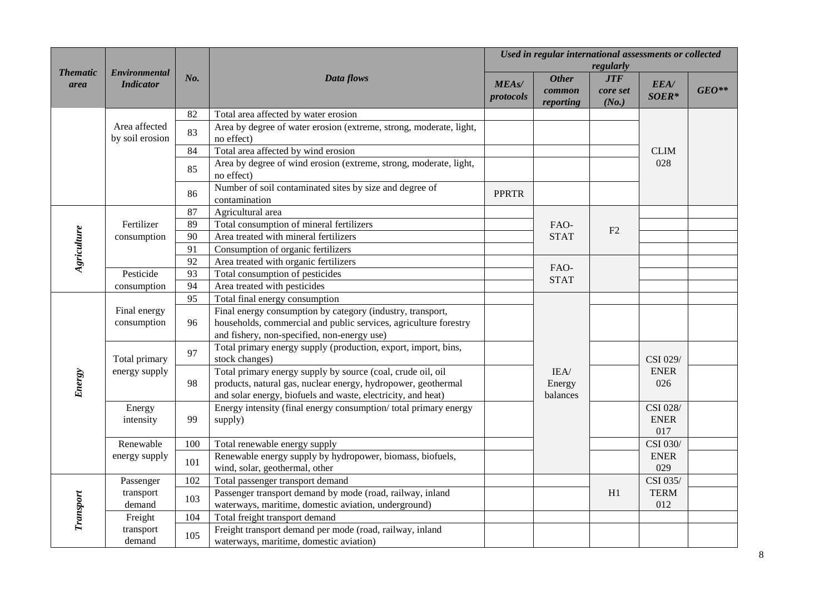|                         |                                          |     |                                                                                                                              |                           | Used in regular international assessments or collected | regularly                       |                         |         |
|-------------------------|------------------------------------------|-----|------------------------------------------------------------------------------------------------------------------------------|---------------------------|--------------------------------------------------------|---------------------------------|-------------------------|---------|
| <b>Thematic</b><br>area | <b>Environmental</b><br><b>Indicator</b> | No. | Data flows                                                                                                                   | <b>MEAs/</b><br>protocols | <b>Other</b><br>common<br>reporting                    | <b>JTF</b><br>core set<br>(No.) | EEA/<br>SOER*           | $GEO**$ |
|                         |                                          | 82  | Total area affected by water erosion                                                                                         |                           |                                                        |                                 |                         |         |
|                         | Area affected<br>by soil erosion         | 83  | Area by degree of water erosion (extreme, strong, moderate, light,<br>no effect)                                             |                           |                                                        |                                 |                         |         |
|                         |                                          | 84  | Total area affected by wind erosion                                                                                          |                           |                                                        |                                 | <b>CLIM</b>             |         |
|                         |                                          | 85  | Area by degree of wind erosion (extreme, strong, moderate, light,<br>no effect)                                              |                           |                                                        |                                 | 028                     |         |
|                         |                                          | 86  | Number of soil contaminated sites by size and degree of<br>contamination                                                     | <b>PPRTR</b>              |                                                        |                                 |                         |         |
|                         |                                          | 87  | Agricultural area                                                                                                            |                           |                                                        |                                 |                         |         |
|                         | Fertilizer                               | 89  | Total consumption of mineral fertilizers                                                                                     |                           | FAO-                                                   | F2                              |                         |         |
| Agriculture             | consumption                              | 90  | Area treated with mineral fertilizers                                                                                        |                           | <b>STAT</b>                                            |                                 |                         |         |
|                         |                                          | 91  | Consumption of organic fertilizers                                                                                           |                           |                                                        |                                 |                         |         |
|                         |                                          | 92  | Area treated with organic fertilizers                                                                                        |                           | FAO-                                                   |                                 |                         |         |
|                         | Pesticide                                | 93  | Total consumption of pesticides                                                                                              |                           | <b>STAT</b>                                            |                                 |                         |         |
|                         | consumption                              | 94  | Area treated with pesticides                                                                                                 |                           |                                                        |                                 |                         |         |
|                         | Final energy                             | 95  | Total final energy consumption                                                                                               |                           |                                                        |                                 |                         |         |
|                         |                                          |     | Final energy consumption by category (industry, transport,                                                                   |                           |                                                        |                                 |                         |         |
|                         | consumption                              | 96  | households, commercial and public services, agriculture forestry                                                             |                           |                                                        |                                 |                         |         |
|                         |                                          |     | and fishery, non-specified, non-energy use)                                                                                  |                           |                                                        |                                 |                         |         |
|                         | Total primary<br>energy supply           | 97  | Total primary energy supply (production, export, import, bins,<br>stock changes)                                             |                           |                                                        |                                 | CSI 029/                |         |
| <b>Energy</b>           |                                          | 98  | Total primary energy supply by source (coal, crude oil, oil<br>products, natural gas, nuclear energy, hydropower, geothermal |                           | IEA/<br>Energy                                         |                                 | <b>ENER</b><br>026      |         |
|                         |                                          |     | and solar energy, biofuels and waste, electricity, and heat)                                                                 |                           | balances                                               |                                 |                         |         |
|                         | Energy<br>intensity                      | 99  | Energy intensity (final energy consumption/ total primary energy<br>supply)                                                  |                           |                                                        |                                 | CSI 028/<br><b>ENER</b> |         |
|                         | Renewable                                | 100 | Total renewable energy supply                                                                                                |                           |                                                        |                                 | 017<br>CSI 030/         |         |
|                         | energy supply                            |     | Renewable energy supply by hydropower, biomass, biofuels,                                                                    |                           |                                                        |                                 | <b>ENER</b>             |         |
|                         |                                          | 101 | wind, solar, geothermal, other                                                                                               |                           |                                                        |                                 | 029                     |         |
|                         | Passenger                                | 102 | Total passenger transport demand                                                                                             |                           |                                                        |                                 | CSI 035/                |         |
|                         | transport                                | 103 | Passenger transport demand by mode (road, railway, inland                                                                    |                           |                                                        | H1                              | <b>TERM</b>             |         |
| Transport               | demand                                   |     | waterways, maritime, domestic aviation, underground)                                                                         |                           |                                                        |                                 | 012                     |         |
|                         | Freight                                  | 104 | Total freight transport demand                                                                                               |                           |                                                        |                                 |                         |         |
|                         | transport<br>demand                      | 105 | Freight transport demand per mode (road, railway, inland<br>waterways, maritime, domestic aviation)                          |                           |                                                        |                                 |                         |         |